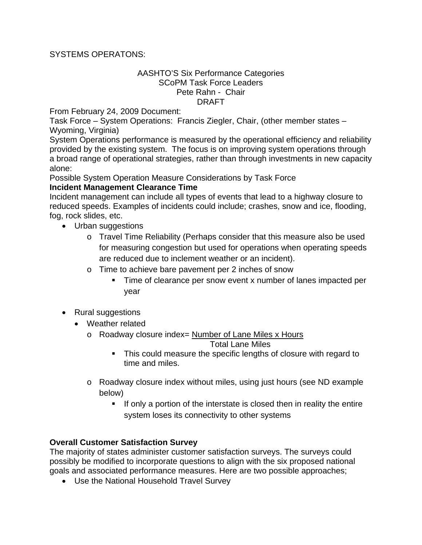## SYSTEMS OPERATONS:

## AASHTO'S Six Performance Categories SCoPM Task Force Leaders Pete Rahn - Chair DRAFT

From February 24, 2009 Document:

Task Force – System Operations: Francis Ziegler, Chair, (other member states – Wyoming, Virginia)

System Operations performance is measured by the operational efficiency and reliability provided by the existing system. The focus is on improving system operations through a broad range of operational strategies, rather than through investments in new capacity alone:

Possible System Operation Measure Considerations by Task Force **Incident Management Clearance Time** 

Incident management can include all types of events that lead to a highway closure to reduced speeds. Examples of incidents could include; crashes, snow and ice, flooding, fog, rock slides, etc.

- Urban suggestions
	- o Travel Time Reliability (Perhaps consider that this measure also be used for measuring congestion but used for operations when operating speeds are reduced due to inclement weather or an incident).
	- o Time to achieve bare pavement per 2 inches of snow
		- Time of clearance per snow event x number of lanes impacted per year
- Rural suggestions
	- Weather related
		- o Roadway closure index= Number of Lane Miles x Hours

Total Lane Miles

- This could measure the specific lengths of closure with regard to time and miles.
- o Roadway closure index without miles, using just hours (see ND example below)
	- If only a portion of the interstate is closed then in reality the entire system loses its connectivity to other systems

## **Overall Customer Satisfaction Survey**

The majority of states administer customer satisfaction surveys. The surveys could possibly be modified to incorporate questions to align with the six proposed national goals and associated performance measures. Here are two possible approaches;

• Use the National Household Travel Survey